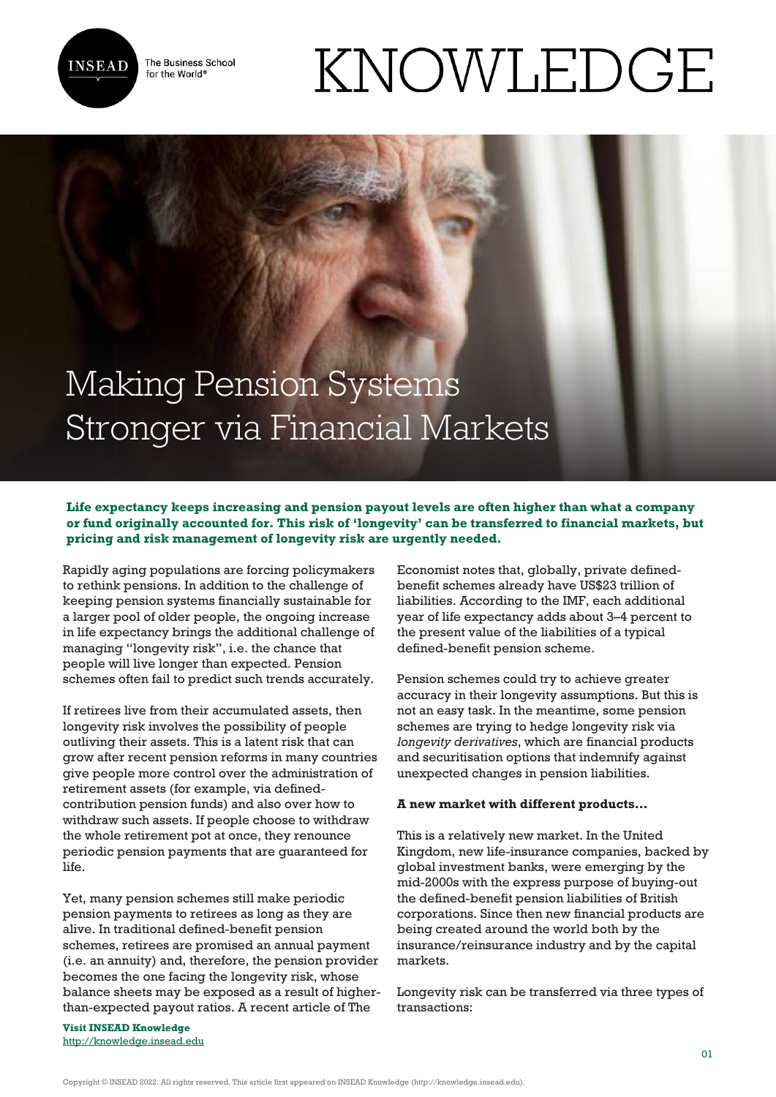

The Business School for the World<sup>®</sup>

# KNOWLEDGE

# Making Pension Systems Stronger via Financial Markets

# **Life expectancy keeps increasing and pension payout levels are often higher than what a company or fund originally accounted for. This risk of 'longevity' can be transferred to financial markets, but pricing and risk management of longevity risk are urgently needed.**

Rapidly aging populations are forcing policymakers to rethink pensions. In addition to the challenge of keeping pension systems financially sustainable for a larger pool of older people, the ongoing increase in life expectancy brings the additional challenge of managing "longevity risk", i.e. the chance that people will live longer than expected. Pension schemes often fail to predict such trends accurately.

If retirees live from their accumulated assets, then longevity risk involves the possibility of people outliving their assets. This is a latent risk that can grow after recent pension reforms in many countries give people more control over the administration of retirement assets (for example, via definedcontribution pension funds) and also over how to withdraw such assets. If people choose to withdraw the whole retirement pot at once, they renounce periodic pension payments that are guaranteed for life.

Yet, many pension schemes still make periodic pension payments to retirees as long as they are alive. In traditional defined-benefit pension schemes, retirees are promised an annual payment (i.e. an annuity) and, therefore, the pension provider becomes the one facing the longevity risk, whose balance sheets may be exposed as a result of higherthan-expected payout ratios. A recent article of The

**Visit INSEAD Knowledge** <http://knowledge.insead.edu> Economist notes that, globally, private definedbenefit schemes already have US\$23 trillion of liabilities. According to the IMF, each additional year of life expectancy adds about 3–4 percent to the present value of the liabilities of a typical defined-benefit pension scheme.

Pension schemes could try to achieve greater accuracy in their longevity assumptions. But this is not an easy task. In the meantime, some pension schemes are trying to hedge longevity risk via *longevity derivatives*, which are financial products and securitisation options that indemnify against unexpected changes in pension liabilities.

# **A new market with different products…**

This is a relatively new market. In the United Kingdom, new life-insurance companies, backed by global investment banks, were emerging by the mid-2000s with the express purpose of buying-out the defined-benefit pension liabilities of British corporations. Since then new financial products are being created around the world both by the insurance/reinsurance industry and by the capital markets.

Longevity risk can be transferred via three types of transactions:

Copyright © INSEAD 2022. All rights reserved. This article first appeared on INSEAD Knowledge (http://knowledge.insead.edu).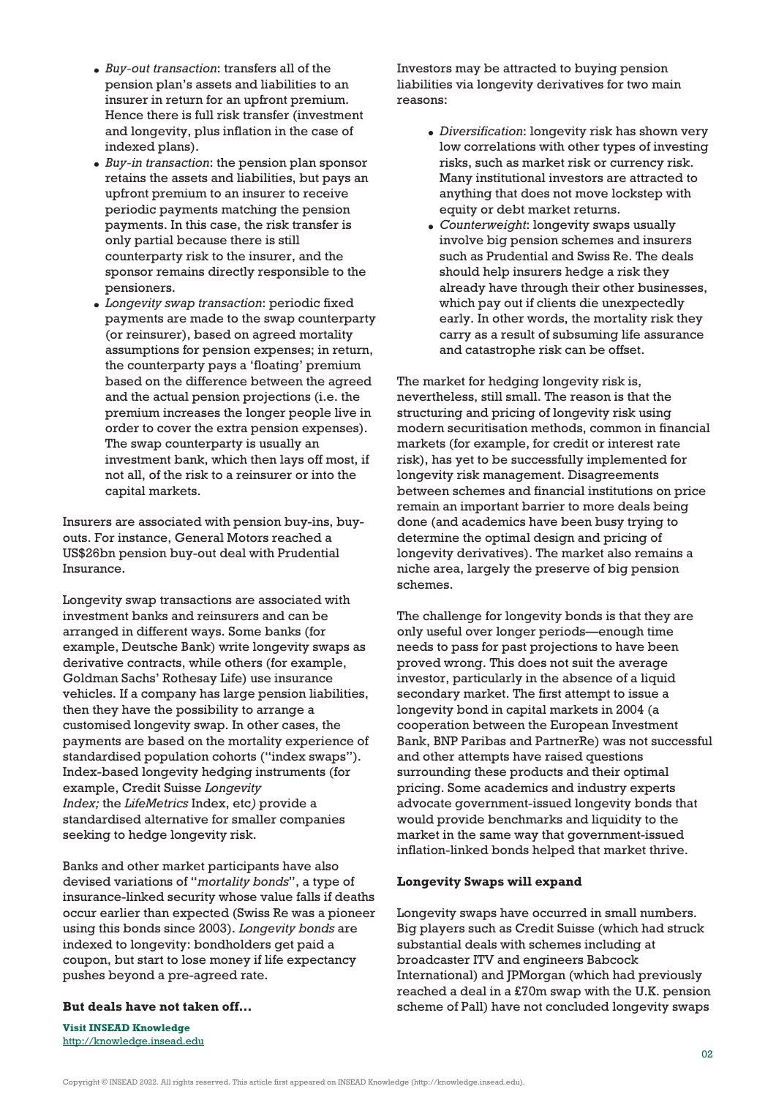- *Buy-out transaction*: transfers all of the pension plan's assets and liabilities to an insurer in return for an upfront premium. Hence there is full risk transfer (investment and longevity, plus inflation in the case of indexed plans).
- *Buy-in transaction*: the pension plan sponsor retains the assets and liabilities, but pays an upfront premium to an insurer to receive periodic payments matching the pension payments. In this case, the risk transfer is only partial because there is still counterparty risk to the insurer, and the sponsor remains directly responsible to the pensioners.
- *Longevity swap transaction*: periodic fixed payments are made to the swap counterparty (or reinsurer), based on agreed mortality assumptions for pension expenses; in return, the counterparty pays a 'floating' premium based on the difference between the agreed and the actual pension projections (i.e. the premium increases the longer people live in order to cover the extra pension expenses). The swap counterparty is usually an investment bank, which then lays off most, if not all, of the risk to a reinsurer or into the capital markets.

Insurers are associated with pension buy-ins, buyouts. For instance, General Motors reached a US\$26bn pension buy-out deal with Prudential Insurance.

Longevity swap transactions are associated with investment banks and reinsurers and can be arranged in different ways. Some banks (for example, Deutsche Bank) write longevity swaps as derivative contracts, while others (for example, Goldman Sachs' Rothesay Life) use insurance vehicles. If a company has large pension liabilities, then they have the possibility to arrange a customised longevity swap. In other cases, the payments are based on the mortality experience of standardised population cohorts ("index swaps"). Index-based longevity hedging instruments (for example, Credit Suisse *Longevity Index;* the *LifeMetrics* Index, etc*)* provide a standardised alternative for smaller companies seeking to hedge longevity risk.

Banks and other market participants have also devised variations of "*mortality bonds*", a type of insurance-linked security whose value falls if deaths occur earlier than expected (Swiss Re was a pioneer using this bonds since 2003). *Longevity bonds* are indexed to longevity: bondholders get paid a coupon, but start to lose money if life expectancy pushes beyond a pre-agreed rate.

## **But deals have not taken off…**

**Visit INSEAD Knowledge** <http://knowledge.insead.edu> Investors may be attracted to buying pension liabilities via longevity derivatives for two main reasons:

- *Diversification*: longevity risk has shown very low correlations with other types of investing risks, such as market risk or currency risk. Many institutional investors are attracted to anything that does not move lockstep with equity or debt market returns.
- *Counterweight*: longevity swaps usually involve big pension schemes and insurers such as Prudential and Swiss Re. The deals should help insurers hedge a risk they already have through their other businesses, which pay out if clients die unexpectedly early. In other words, the mortality risk they carry as a result of subsuming life assurance and catastrophe risk can be offset.

The market for hedging longevity risk is, nevertheless, still small. The reason is that the structuring and pricing of longevity risk using modern securitisation methods, common in financial markets (for example, for credit or interest rate risk), has yet to be successfully implemented for longevity risk management. Disagreements between schemes and financial institutions on price remain an important barrier to more deals being done (and academics have been busy trying to determine the optimal design and pricing of longevity derivatives). The market also remains a niche area, largely the preserve of big pension schemes.

The challenge for longevity bonds is that they are only useful over longer periods—enough time needs to pass for past projections to have been proved wrong. This does not suit the average investor, particularly in the absence of a liquid secondary market. The first attempt to issue a longevity bond in capital markets in 2004 (a cooperation between the European Investment Bank, BNP Paribas and PartnerRe) was not successful and other attempts have raised questions surrounding these products and their optimal pricing. Some academics and industry experts advocate government-issued longevity bonds that would provide benchmarks and liquidity to the market in the same way that government-issued inflation-linked bonds helped that market thrive.

#### **Longevity Swaps will expand**

Longevity swaps have occurred in small numbers. Big players such as Credit Suisse (which had struck substantial deals with schemes including at broadcaster ITV and engineers Babcock International) and JPMorgan (which had previously reached a deal in a £70m swap with the U.K. pension scheme of Pall) have not concluded longevity swaps

Copyright © INSEAD 2022. All rights reserved. This article first appeared on INSEAD Knowledge (http://knowledge.insead.edu).